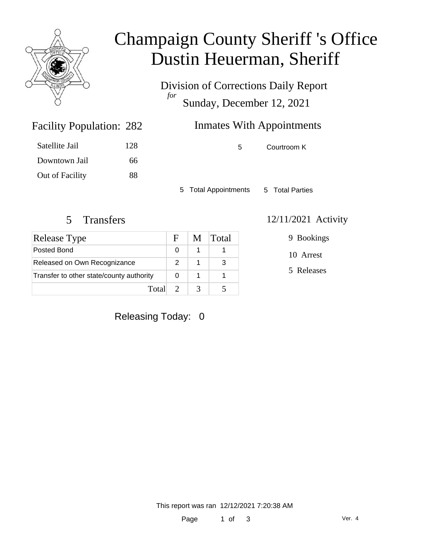

## Champaign County Sheriff 's Office Dustin Heuerman, Sheriff

Division of Corrections Daily Report *for* Sunday, December 12, 2021

### Inmates With Appointments

Satellite Jail 128 Downtown Jail 66 Out of Facility 88

Facility Population: 282

5 Courtroom K

5 Total Appointments 5 Total Parties

| Release Type                             | H | M. | Total |
|------------------------------------------|---|----|-------|
| Posted Bond                              |   |    |       |
| Released on Own Recognizance             | 2 |    |       |
| Transfer to other state/county authority |   |    |       |
| Total                                    |   |    |       |

### 5 Transfers 12/11/2021 Activity

9 Bookings

10 Arrest

5 Releases

#### Releasing Today: 0

This report was ran 12/12/2021 7:20:38 AM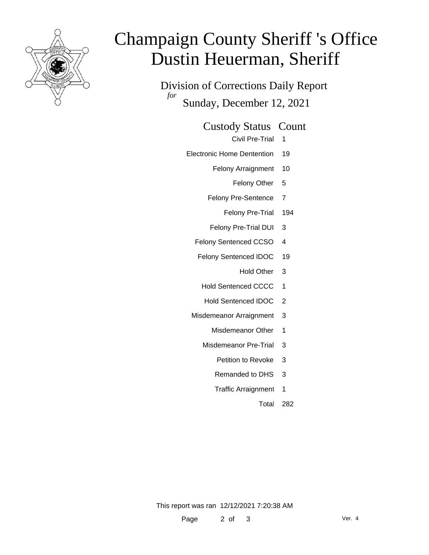

# Champaign County Sheriff 's Office Dustin Heuerman, Sheriff

Division of Corrections Daily Report *for* Sunday, December 12, 2021

Custody Status Count

Civil Pre-Trial 1

- Electronic Home Dentention 19
	- Felony Arraignment 10

Felony Other 5

- Felony Pre-Sentence 7
	- Felony Pre-Trial 194
- Felony Pre-Trial DUI 3
- Felony Sentenced CCSO 4
- Felony Sentenced IDOC 19
	- Hold Other 3
	- Hold Sentenced CCCC 1
	- Hold Sentenced IDOC 2
- Misdemeanor Arraignment 3
	- Misdemeanor Other 1
	- Misdemeanor Pre-Trial 3
		- Petition to Revoke 3
		- Remanded to DHS 3
		- Traffic Arraignment 1

Total 282

This report was ran 12/12/2021 7:20:38 AM